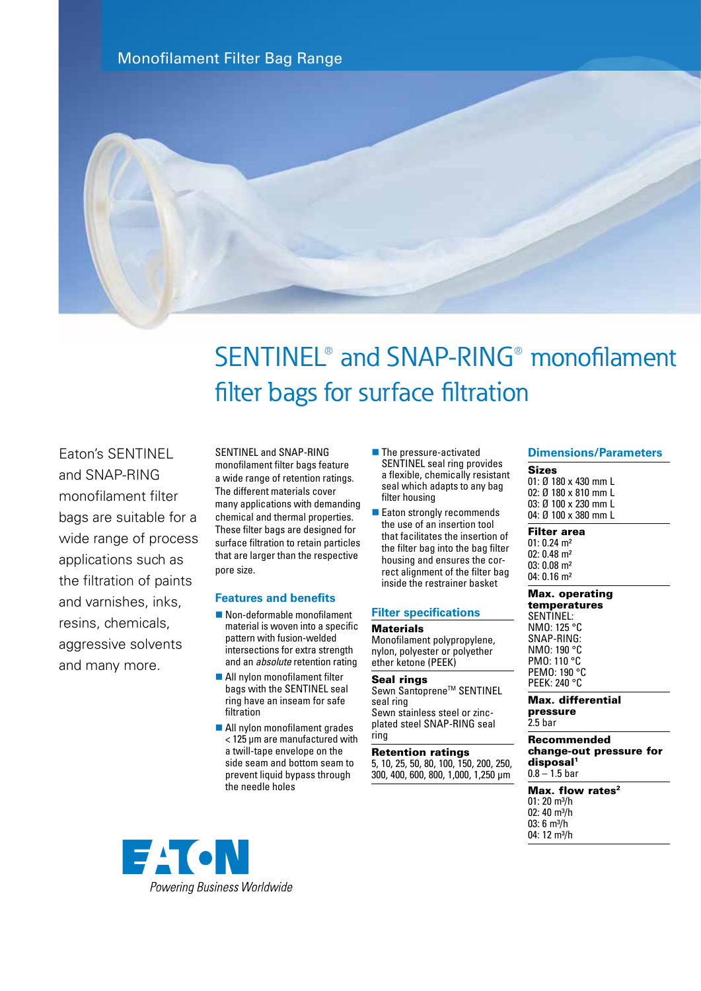Monofilament Filter Bag Range



# SENTINEL® and SNAP-RING® monofilament filter bags for surface filtration

Eaton's SENTINEL and SNAP-RING monofilament filter bags are suitable for a wide range of process applications such as the filtration of paints and varnishes, inks, resins, chemicals, aggressive solvents and many more.

SENTINEL and SNAP-RING monofilament filter bags feature a wide range of retention ratings. The different materials cover many applications with demanding chemical and thermal properties. These filter bags are designed for surface filtration to retain particles that are larger than the respective pore size.

# **Features and benefits**

- $\blacksquare$  Non-deformable monofilament material is woven into a specific pattern with fusion-welded intersections for extra strength and an *absolute* retention rating
- $\blacksquare$  All nylon monofilament filter bags with the SENTINEL seal ring have an inseam for safe filtration
- All nylon monofilament grades < 125 µm are manufactured with a twill-tape envelope on the side seam and bottom seam to prevent liquid bypass through the needle holes
- $\blacksquare$  The pressure-activated SENTINEL seal ring provides a flexible, chemically resistant seal which adapts to any bag filter housing
- $\blacksquare$  Eaton strongly recommends the use of an insertion tool that facilitates the insertion of the filter bag into the bag filter housing and ensures the correct alignment of the filter bag inside the restrainer basket

# **Filter specifications**

### **Materials**

Monofilament polypropylene, nylon, polyester or polyether ether ketone (PEEK)

#### Seal rings Sewn Santoprene™ SENTINEL

seal ring Sewn stainless steel or zincplated steel SNAP-RING seal ring

# Retention ratings

5, 10, 25, 50, 80, 100, 150, 200, 250, 300, 400, 600, 800, 1,000, 1,250 µm

### **Dimensions/Parameters**

Sizes 01: Ø 180 x 430 mm L 02: Ø 180 x 810 mm L 03: Ø 100 x 230 mm L 04: Ø 100 x 380 mm L

# Filter area

01: 0.24 m² 02: 0.48 m² 03: 0.08 m² 04: 0.16 m²

#### Max. operating temperatures

SENTINEL: NMO: 125 °C SNAP-RING: NMO: 190 °C PMO: 110 °C PEMO: 190 °C PEEK: 240 °C

Max. differential pressure 2.5 bar

#### Recommended change-out pressure for disposal<sup>1</sup>  $0.8 - 1.5$  bar

Max. flow rates<sup>2</sup>  $01: 20$  m<sup>3</sup>/h 02:  $40 \text{ m}^3/h$  $03: 6 m<sup>3</sup>/h$ 04: 12 m<sup>3</sup>/h